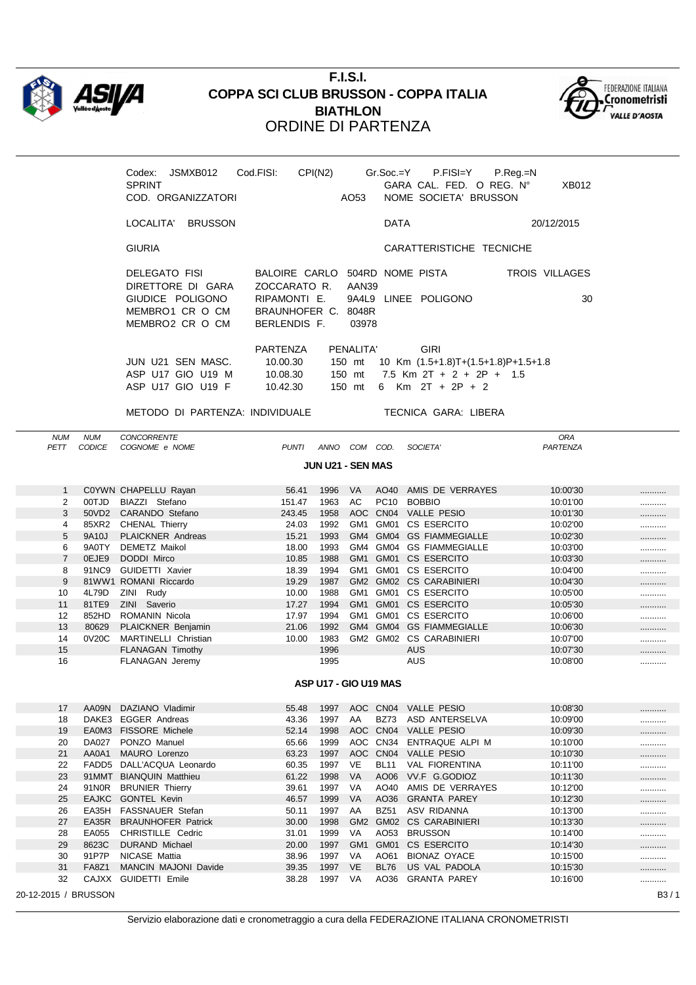

## **F.I.S.I. COPPA SCI CLUB BRUSSON - COPPA ITALIA BIATHLON** ORDINE DI PARTENZA



METODO DI PARTENZA: INDIVIDUALE TECNICA GARA: LIBERA

NUM NUM CONCORRENTE ORA PETT CODICE COGNOME e NOME  $PUNTI$  ANNO COM COD. **JUN U21 - SEN MAS** 1 C0YWN CHAPELLU Rayan 1 1 26.41 1996 VA AO40 AMIS DE VERRAYES 10:00'30 ............ 2 00TJD BIAZZI Stefano 151.47 1963 AC PC10 BOBBIO 10:01'00 ........... 3 50VD2 CARANDO Stefano 243.45 1958 AOC CN04 VALLE PESIO 10:01'30 4 85XR2 CHENAL Thierry 24.03 1992 GM1 GM01 CS ESERCITO 10:02'00 5 9A10J PLAICKNER Andreas 15.21 1993 GM4 GM04 GS FIAMMEGIALLE 10:02'30 6 9A0TY DEMETZ Maikol 18.00 1993 GM4 GM04 GS FIAMMEGIALLE 10:03'00 7 0EJE9 DODDI Mirco 10:03'30 10.85 1988 GM1 GM01 CS ESERCITO 10:03'30 8 91NC9 GUIDETTI Xavier 18.39 1994 GM1 GM01 CS ESERCITO 10:04'00 9 81WW1 ROMANI Riccardo 19.29 1987 GM2 GM02 CS CARABINIERI 10:04'30 10 4L79D ZINI Rudy 10.00 1988 GM1 GM01 CS ESERCITO 10:05'00 ..................... 11 81TE9 ZINI Saverio 17.27 1994 GM1 GM01 CS ESERCITO 10:05'30 ............ 12 852HD ROMANIN Nicola 17.97 1994 GM1 GM01 CS ESERCITO 10:06'00 13 80629 PLAICKNER Benjamin 21.06 1992 GM4 GM04 GS FIAMMEGIALLE 10:06'30 ............ 14 0V20C MARTINELLI Christian 10.00 1983 GM2 GM02 CS CARABINIERI 10:07'00 15 FLANAGAN Timothy 1996 AUS 10:07'30 ........... 16 FLANAGAN Jeremy 1995 AUS AUS 10:08'00 **ASP U17 - GIO U19 MAS** 17 AA09N DAZIANO Vladimir 55.48 1997 AOC CN04 VALLE PESIO 10:08'30 ........... 18 DAKE3 EGGER Andreas 43.36 1997 AA BZ73 ASD ANTERSELVA 10:09'00 ........... 19 EA0M3 FISSORE Michele 1998 52.14 1998 AOC CN04 VALLE PESIO 10:09'30 10:09'30 ............ 20 DA027 PONZO Manuel 65.66 1999 AOC CN34 ENTRAQUE ALPI M 10:10'00 ........... 21 AA0A1 MAURO Lorenzo 63.23 1997 AOC CN04 VALLE PESIO 10:10'30 ........... 22 FADD5 DALL'ACQUA Leonardo 60.35 1997 VE BL11 VAL FIORENTINA 10:11'00 ............ 23 91MMT BIANQUIN Matthieu 61.22 1998 VA AO06 VV.F G.GODIOZ 10:11'30 24 91NOR BRUNIER Thierry 39.61 1997 VA AO40 AMIS DE VERRAYES 10:12'00 ........... 25 EAJKC GONTEL Kevin 10:12'30 10:02 46.57 1999 VA AO36 GRANTA PAREY 10:12'30 26 EA35H FASSNAUER Stefan 50.11 1997 AA BZ51 ASV RIDANNA 10:13'00 ........... 27 EA35R BRAUNHOFER Patrick 30.00 1998 GM2 GM02 CS CARABINIERI 10:13'30 28 EA055 CHRISTILLE Cedric **31.01 1999 VA AO53 BRUSSON** 10:14'00 ............. 29 8623C DURAND Michael 20.00 1997 GM1 GM01 CS ESERCITO 10:14'30 ........... 30 91P7P NICASE Mattia **38.96 1997 VA AO61 BIONAZ OYACE** 10:15'00 ............

20-12-2015 / BRUSSON B3 / 1

32 CAJXX GUIDETTI Emile 38.28 1997 VA AO36 GRANTA PAREY 10:16'00 ...........

31 FA8Z1 MANCIN MAJONI Davide 39.35 1997 VE BL76 US VAL PADOLA 10:15'30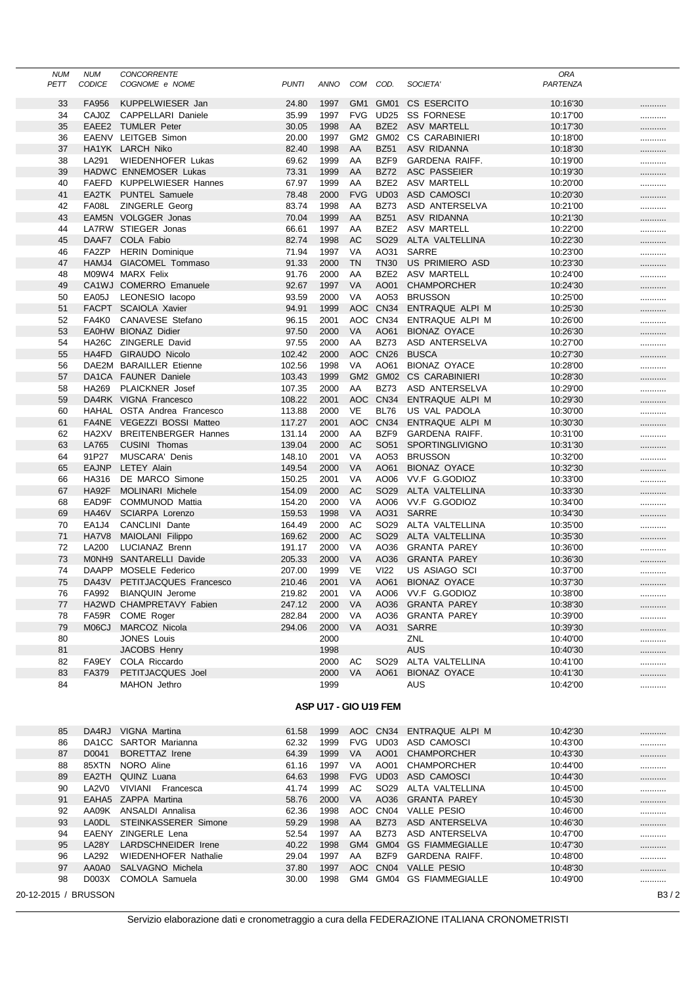|      | <b>NUM</b> | <b>NUM</b>         | <b>CONCORRENTE</b>          |              |                       |                 |                  |                          | <b>ORA</b> |   |
|------|------------|--------------------|-----------------------------|--------------|-----------------------|-----------------|------------------|--------------------------|------------|---|
| PETT |            | <b>CODICE</b>      | COGNOME e NOME              | <b>PUNTI</b> | ANNO                  | COM             | COD.             | SOCIETA'                 | PARTENZA   |   |
|      |            |                    |                             |              |                       |                 |                  |                          |            |   |
|      | 33         | FA956              | KUPPELWIESER Jan            | 24.80        | 1997                  | GM <sub>1</sub> | GM01             | CS ESERCITO              | 10:16'30   |   |
|      | 34         | CAJ0Z              | CAPPELLARI Daniele          | 35.99        | 1997                  | <b>FVG</b>      | <b>UD25</b>      | <b>SS FORNESE</b>        | 10:17'00   |   |
|      | 35         | EAEE2              | <b>TUMLER Peter</b>         | 30.05        | 1998                  | AA              | BZE <sub>2</sub> | <b>ASV MARTELL</b>       | 10:17'30   |   |
|      | 36         |                    | EAENV LEITGEB Simon         | 20.00        | 1997                  | GM <sub>2</sub> | GM02             | <b>CS CARABINIERI</b>    | 10:18'00   |   |
|      | 37         |                    | HA1YK LARCH Niko            | 82.40        | 1998                  | AA              | <b>BZ51</b>      | ASV RIDANNA              | 10:18'30   |   |
|      | 38         | LA291              | <b>WIEDENHOFER Lukas</b>    | 69.62        | 1999                  | AA              | BZF9             | <b>GARDENA RAIFF.</b>    | 10:19'00   |   |
|      | 39         |                    | HADWC ENNEMOSER Lukas       | 73.31        | 1999                  | AA              | <b>BZ72</b>      | ASC PASSEIER             | 10:19'30   |   |
|      | 40         |                    | FAEFD KUPPELWIESER Hannes   | 67.97        | 1999                  | AA              | BZE <sub>2</sub> | <b>ASV MARTELL</b>       | 10:20'00   |   |
|      | 41         | EA2TK              | <b>PUNTEL Samuele</b>       | 78.48        | 2000                  | <b>FVG</b>      | UD03             | ASD CAMOSCI              | 10:20'30   |   |
|      | 42         | FA08L              | ZINGERLE Georg              | 83.74        | 1998                  | AA              | BZ73             | ASD ANTERSELVA           | 10:21'00   |   |
|      | 43         |                    | EAM5N VOLGGER Jonas         | 70.04        | 1999                  | AA              | <b>BZ51</b>      | <b>ASV RIDANNA</b>       | 10:21'30   |   |
|      | 44         |                    | LA7RW STIEGER Jonas         | 66.61        | 1997                  | AA              | BZE <sub>2</sub> | <b>ASV MARTELL</b>       | 10:22'00   |   |
|      | 45         |                    | DAAF7 COLA Fabio            | 82.74        | 1998                  | <b>AC</b>       | SO <sub>29</sub> | ALTA VALTELLINA          | 10:22'30   |   |
|      | 46         | FA2ZP              | <b>HERIN Dominique</b>      | 71.94        | 1997                  | VA              | AO31             | SARRE                    | 10:23'00   |   |
|      | 47         | HAMJ4              | GIACOMEL Tommaso            | 91.33        | 2000                  | <b>TN</b>       | <b>TN30</b>      | US PRIMIERO ASD          | 10:23'30   |   |
|      | 48         |                    | M09W4 MARX Felix            | 91.76        | 2000                  | AA              | BZE2             | <b>ASV MARTELL</b>       | 10:24'00   |   |
|      | 49         |                    | CA1WJ COMERRO Emanuele      | 92.67        | 1997                  | <b>VA</b>       | AO01             | <b>CHAMPORCHER</b>       | 10:24'30   |   |
|      | 50         | EA05J              | LEONESIO lacopo             | 93.59        | 2000                  | VA              | AO53             | <b>BRUSSON</b>           | 10:25'00   |   |
|      | 51         | <b>FACPT</b>       | <b>SCAIOLA Xavier</b>       | 94.91        | 1999                  | AOC             | <b>CN34</b>      | ENTRAQUE ALPI M          | 10:25'30   |   |
|      | 52         | FA4K0              | CANAVESE Stefano            | 96.15        | 2001                  | AOC             | <b>CN34</b>      | ENTRAQUE ALPI M          | 10:26'00   |   |
|      | 53         |                    | EA0HW BIONAZ Didier         |              | 2000                  | VA              | AO61             | <b>BIONAZ OYACE</b>      |            |   |
|      |            |                    |                             | 97.50        |                       |                 |                  |                          | 10:26'30   |   |
|      | 54         | HA26C              | ZINGERLE David              | 97.55        | 2000                  | AA              | <b>BZ73</b>      | ASD ANTERSELVA           | 10:27'00   |   |
|      | 55         | HA4FD              | <b>GIRAUDO Nicolo</b>       | 102.42       | 2000                  | AOC             | <b>CN26</b>      | <b>BUSCA</b>             | 10:27'30   |   |
|      | 56         | DAE2M              | <b>BARAILLER Etienne</b>    | 102.56       | 1998                  | <b>VA</b>       | AO61             | <b>BIONAZ OYACE</b>      | 10:28'00   |   |
|      | 57         | DA1CA              | <b>FAUNER Daniele</b>       | 103.43       | 1999                  | GM <sub>2</sub> | GM02             | <b>CS CARABINIERI</b>    | 10:28'30   |   |
|      | 58         | HA269              | <b>PLAICKNER</b> Josef      | 107.35       | 2000                  | AA              | <b>BZ73</b>      | ASD ANTERSELVA           | 10:29'00   |   |
|      | 59         |                    | DA4RK VIGNA Francesco       | 108.22       | 2001                  | AOC             | <b>CN34</b>      | ENTRAQUE ALPI M          | 10:29'30   |   |
|      | 60         |                    | HAHAL OSTA Andrea Francesco | 113.88       | 2000                  | <b>VE</b>       | <b>BL76</b>      | US VAL PADOLA            | 10:30'00   |   |
|      | 61         |                    | FA4NE VEGEZZI BOSSI Matteo  | 117.27       | 2001                  | AOC             | <b>CN34</b>      | ENTRAQUE ALPI M          | 10:30'30   |   |
|      | 62         | HA2XV              | <b>BREITENBERGER Hannes</b> | 131.14       | 2000                  | AA              | BZF9             | <b>GARDENA RAIFF.</b>    | 10:31'00   |   |
|      | 63         | LA765              | CUSINI Thomas               | 139.04       | 2000                  | AC              | SO <sub>51</sub> | SPORTINGLIVIGNO          | 10:31'30   |   |
|      | 64         | 91P27              | <b>MUSCARA' Denis</b>       | 148.10       | 2001                  | VA              | AO53             | <b>BRUSSON</b>           | 10:32'00   |   |
|      | 65         | <b>EAJNP</b>       | <b>LETEY Alain</b>          | 149.54       | 2000                  | <b>VA</b>       | AO61             | <b>BIONAZ OYACE</b>      | 10:32'30   |   |
|      | 66         | HA316              | DE MARCO Simone             | 150.25       | 2001                  | VA              | AO06             | VV.F G.GODIOZ            | 10:33'00   |   |
|      | 67         | HA92F              | <b>MOLINARI Michele</b>     | 154.09       | 2000                  | <b>AC</b>       | SO <sub>29</sub> | ALTA VALTELLINA          | 10:33'30   |   |
|      | 68         | EAD9F              | COMMUNOD Mattia             | 154.20       | 2000                  | VA              | AO06             | VV.F G.GODIOZ            | 10:34'00   |   |
|      | 69         | HA46V              | <b>SCIARPA Lorenzo</b>      | 159.53       | 1998                  | <b>VA</b>       | AO31             | SARRE                    | 10:34'30   |   |
|      | 70         | EA <sub>1</sub> J4 | CANCLINI Dante              | 164.49       | 2000                  | AC              | SO <sub>29</sub> | ALTA VALTELLINA          | 10:35'00   |   |
|      | 71         | HA7V8              | MAIOLANI Filippo            | 169.62       | 2000                  | AC              | SO <sub>29</sub> | ALTA VALTELLINA          | 10:35'30   |   |
|      | 72         | LA200              | LUCIANAZ Brenn              | 191.17       | 2000                  | VA              | AO36             | <b>GRANTA PAREY</b>      | 10:36'00   |   |
|      | 73         | MONH9              | SANTARELLI Davide           | 205.33       | 2000                  | VA              | AO36             | <b>GRANTA PAREY</b>      | 10:36'30   |   |
|      | 74         | <b>DAAPP</b>       | MOSELE Federico             | 207.00       | 1999                  | VE              | <b>VI22</b>      | US ASIAGO SCI            | 10:37'00   |   |
|      | 75         | DA43V              | PETITJACQUES Francesco      | 210.46       | 2001                  | <b>VA</b>       | AO61             | <b>BIONAZ OYACE</b>      | 10:37'30   |   |
|      |            |                    | <b>BIANQUIN Jerome</b>      |              |                       | VA              |                  | VV.F G.GODIOZ            | 10:38'00   | . |
|      | 76         | FA992              |                             | 219.82       | 2001                  |                 | AO06             |                          |            |   |
|      | 77         |                    | HA2WD CHAMPRETAVY Fabien    | 247.12       | 2000                  | VA              | AO36             | <b>GRANTA PAREY</b>      | 10:38'30   |   |
|      | 78         | FA59R              | COME Roger                  | 282.84       | 2000                  | VA              | AO36             | <b>GRANTA PAREY</b>      | 10:39'00   |   |
|      | 79         | M06CJ              | MARCOZ Nicola               | 294.06       | 2000                  | VA              |                  | AO31 SARRE               | 10:39'30   |   |
|      | 80         |                    | <b>JONES Louis</b>          |              | 2000                  |                 |                  | ZNL                      | 10:40'00   |   |
|      | 81         |                    | <b>JACOBS Henry</b>         |              | 1998                  |                 |                  | <b>AUS</b>               | 10:40'30   |   |
|      | 82         |                    | FA9EY COLA Riccardo         |              | 2000                  | AC              | SO <sub>29</sub> | ALTA VALTELLINA          | 10:41'00   |   |
|      | 83         | <b>FA379</b>       | PETITJACQUES Joel           |              | 2000                  | VA              | AO61             | <b>BIONAZ OYACE</b>      | 10:41'30   |   |
|      | 84         |                    | MAHON Jethro                |              | 1999                  |                 |                  | AUS                      | 10:42'00   |   |
|      |            |                    |                             |              |                       |                 |                  |                          |            |   |
|      |            |                    |                             |              | ASP U17 - GIO U19 FEM |                 |                  |                          |            |   |
|      |            |                    |                             |              |                       |                 |                  |                          |            |   |
|      | 85         |                    | DA4RJ VIGNA Martina         | 61.58        | 1999                  |                 |                  | AOC CN34 ENTRAQUE ALPI M | 10:42'30   |   |
|      | 86         |                    | DA1CC SARTOR Marianna       | 62.32        | 1999                  | FVG             | UD03             | ASD CAMOSCI              | 10:43'00   |   |
|      | 87         | D0041              | <b>BORETTAZ Irene</b>       | 64.39        | 1999                  | VA              | AO01             | <b>CHAMPORCHER</b>       | 10:43'30   |   |
|      | 88         |                    | 85XTN NORO Aline            | 61.16        | 1997                  | VA              | AO01             | CHAMPORCHER              | 10:44'00   |   |
|      | 89         |                    | EA2TH QUINZ Luana           | 64.63        | 1998                  | <b>FVG</b>      |                  | UD03 ASD CAMOSCI         | 10:44'30   |   |
|      | 90         |                    | LA2V0 VIVIANI Francesca     | 41.74        | 1999                  | AC              | SO <sub>29</sub> | ALTA VALTELLINA          | 10:45'00   |   |
|      | 91         |                    | EAHA5 ZAPPA Martina         | 58.76        | 2000                  | VA              | AO36             | <b>GRANTA PAREY</b>      | 10:45'30   |   |
|      | 92         |                    | AA09K ANSALDI Annalisa      | 62.36        | 1998                  |                 |                  | AOC CN04 VALLE PESIO     | 10:46'00   |   |
|      | 93         |                    | LAODL STEINKASSERER Simone  | 59.29        | 1998                  | AA              | <b>BZ73</b>      | ASD ANTERSELVA           | 10:46'30   |   |
|      | 94         |                    | EAENY ZINGERLE Lena         | 52.54        | 1997                  | AA              | <b>BZ73</b>      | ASD ANTERSELVA           | 10:47'00   |   |
|      | 95         | LA28Y              | LARDSCHNEIDER Irene         | 40.22        | 1998                  |                 |                  | GM4 GM04 GS FIAMMEGIALLE | 10:47'30   |   |
|      | 96         | LA292              | WIEDENHOFER Nathalie        | 29.04        | 1997                  | AA              | BZF9             | <b>GARDENA RAIFF.</b>    | 10:48'00   |   |
|      | 97         | AA0A0              | SALVAGNO Michela            | 37.80        | 1997                  |                 |                  | AOC CN04 VALLE PESIO     | 10:48'30   |   |
|      |            |                    |                             |              |                       |                 |                  |                          |            |   |

20-12-2015 / BRUSSON B3 / 2

98 D003X COMOLA Samuela 30.00 1998 GM4 GM04 GS FIAMMEGIALLE 10:49'00 ...........

97 AA0A0 SALVAGNO Michela 37.80 1997 AOC CN04 VALLE PESIO 10:48'30 ...........